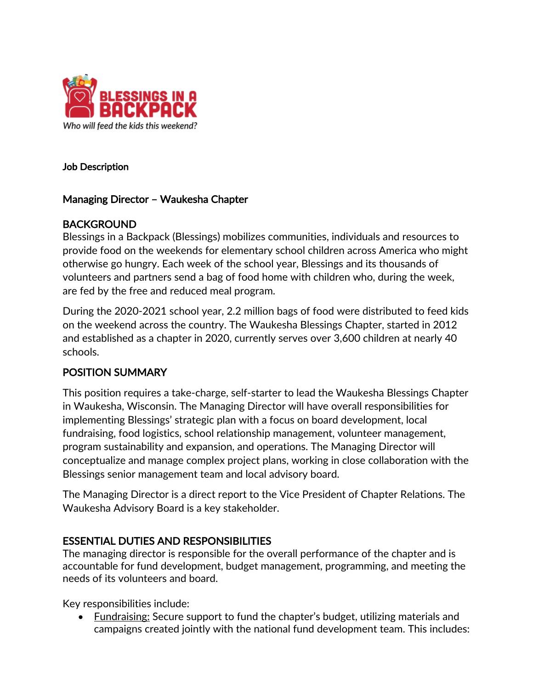

#### Job Description

#### Managing Director – Waukesha Chapter

#### BACKGROUND

Blessings in a Backpack (Blessings) mobilizes communities, individuals and resources to provide food on the weekends for elementary school children across America who might otherwise go hungry. Each week of the school year, Blessings and its thousands of volunteers and partners send a bag of food home with children who, during the week, are fed by the free and reduced meal program.

During the 2020-2021 school year, 2.2 million bags of food were distributed to feed kids on the weekend across the country. The Waukesha Blessings Chapter, started in 2012 and established as a chapter in 2020, currently serves over 3,600 children at nearly 40 schools.

### POSITION SUMMARY

This position requires a take-charge, self-starter to lead the Waukesha Blessings Chapter in Waukesha, Wisconsin. The Managing Director will have overall responsibilities for implementing Blessings' strategic plan with a focus on board development, local fundraising, food logistics, school relationship management, volunteer management, program sustainability and expansion, and operations. The Managing Director will conceptualize and manage complex project plans, working in close collaboration with the Blessings senior management team and local advisory board.

The Managing Director is a direct report to the Vice President of Chapter Relations. The Waukesha Advisory Board is a key stakeholder.

### ESSENTIAL DUTIES AND RESPONSIBILITIES

The managing director is responsible for the overall performance of the chapter and is accountable for fund development, budget management, programming, and meeting the needs of its volunteers and board.

Key responsibilities include:

• Fundraising: Secure support to fund the chapter's budget, utilizing materials and campaigns created jointly with the national fund development team. This includes: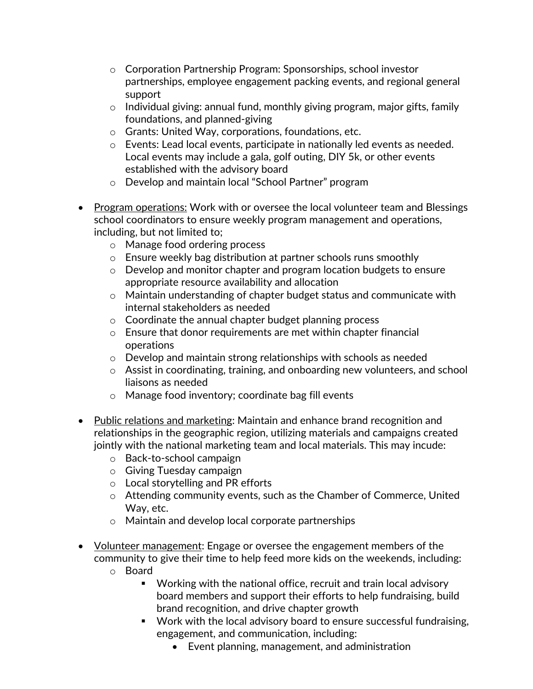- o Corporation Partnership Program: Sponsorships, school investor partnerships, employee engagement packing events, and regional general support
- $\circ$  Individual giving: annual fund, monthly giving program, major gifts, family foundations, and planned-giving
- o Grants: United Way, corporations, foundations, etc.
- o Events: Lead local events, participate in nationally led events as needed. Local events may include a gala, golf outing, DIY 5k, or other events established with the advisory board
- o Develop and maintain local "School Partner" program
- Program operations: Work with or oversee the local volunteer team and Blessings school coordinators to ensure weekly program management and operations, including, but not limited to;
	- o Manage food ordering process
	- o Ensure weekly bag distribution at partner schools runs smoothly
	- $\circ$  Develop and monitor chapter and program location budgets to ensure appropriate resource availability and allocation
	- o Maintain understanding of chapter budget status and communicate with internal stakeholders as needed
	- o Coordinate the annual chapter budget planning process
	- o Ensure that donor requirements are met within chapter financial operations
	- o Develop and maintain strong relationships with schools as needed
	- $\circ$  Assist in coordinating, training, and onboarding new volunteers, and school liaisons as needed
	- o Manage food inventory; coordinate bag fill events
- Public relations and marketing: Maintain and enhance brand recognition and relationships in the geographic region, utilizing materials and campaigns created jointly with the national marketing team and local materials. This may incude:
	- o Back-to-school campaign
	- o Giving Tuesday campaign
	- o Local storytelling and PR efforts
	- $\circ$  Attending community events, such as the Chamber of Commerce, United Way, etc.
	- o Maintain and develop local corporate partnerships
- Volunteer management: Engage or oversee the engagement members of the community to give their time to help feed more kids on the weekends, including:
	- o Board
		- Working with the national office, recruit and train local advisory board members and support their efforts to help fundraising, build brand recognition, and drive chapter growth
		- Work with the local advisory board to ensure successful fundraising, engagement, and communication, including:
			- Event planning, management, and administration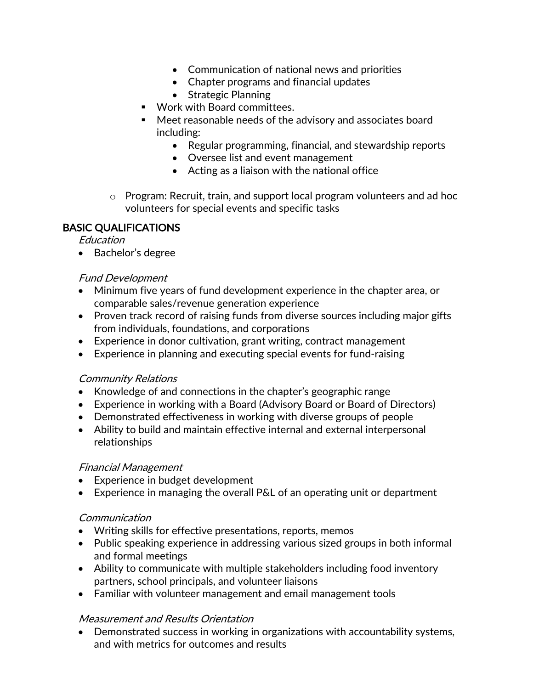- Communication of national news and priorities
- Chapter programs and financial updates
- Strategic Planning
- Work with Board committees.
- Meet reasonable needs of the advisory and associates board including:
	- Regular programming, financial, and stewardship reports
	- Oversee list and event management
	- Acting as a liaison with the national office
- o Program: Recruit, train, and support local program volunteers and ad hoc volunteers for special events and specific tasks

## BASIC QUALIFICATIONS

Education

• Bachelor's degree

## Fund Development

- Minimum five years of fund development experience in the chapter area, or comparable sales/revenue generation experience
- Proven track record of raising funds from diverse sources including major gifts from individuals, foundations, and corporations
- Experience in donor cultivation, grant writing, contract management
- Experience in planning and executing special events for fund-raising

# Community Relations

- Knowledge of and connections in the chapter's geographic range
- Experience in working with a Board (Advisory Board or Board of Directors)
- Demonstrated effectiveness in working with diverse groups of people
- Ability to build and maintain effective internal and external interpersonal relationships

### Financial Management

- Experience in budget development
- Experience in managing the overall P&L of an operating unit or department

# **Communication**

- Writing skills for effective presentations, reports, memos
- Public speaking experience in addressing various sized groups in both informal and formal meetings
- Ability to communicate with multiple stakeholders including food inventory partners, school principals, and volunteer liaisons
- Familiar with volunteer management and email management tools

# Measurement and Results Orientation

• Demonstrated success in working in organizations with accountability systems, and with metrics for outcomes and results